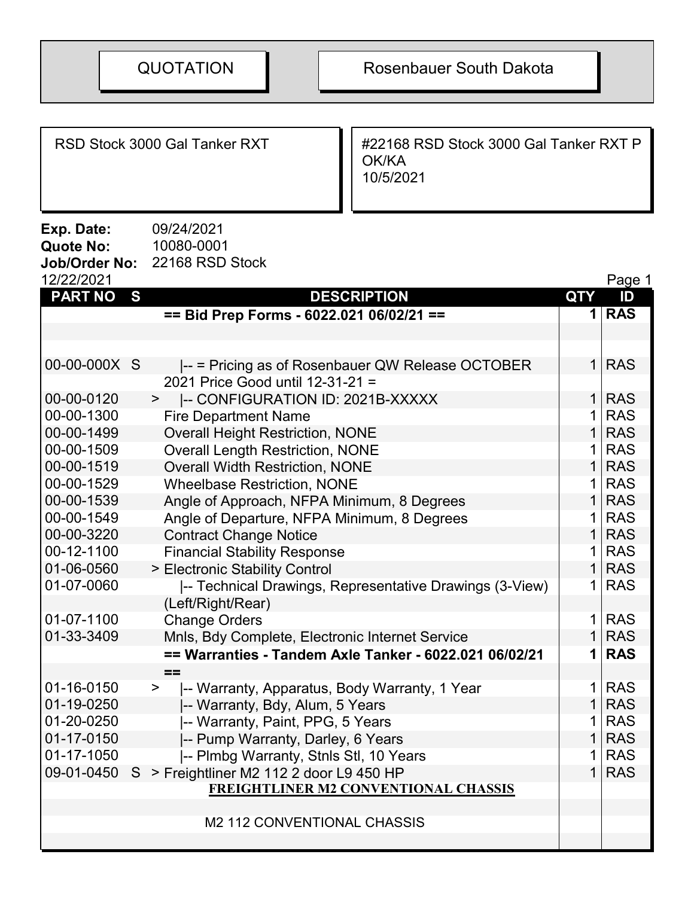RSD Stock 3000 Gal Tanker RXT | #22168 RSD Stock 3000 Gal Tanker RXT P OK/KA 10/5/2021

**Exp. Date:** 09/24/2021<br>Quote No: 10080-0001 Quote No: **Job/Order No: 22168 RSD Stock**<br>12/22/2021

| 12/22/2021     |   |                                                         |                | Page 1     |
|----------------|---|---------------------------------------------------------|----------------|------------|
| <b>PART NO</b> | S | <b>DESCRIPTION</b>                                      | <b>QTY</b>     | ID         |
|                |   | == Bid Prep Forms - 6022.021 06/02/21 ==                |                | 1 RAS      |
|                |   |                                                         |                |            |
|                |   |                                                         |                |            |
| 00-00-000X S   |   | -- = Pricing as of Rosenbauer QW Release OCTOBER        |                | $1$ RAS    |
|                |   | 2021 Price Good until 12-31-21 =                        |                |            |
| 00-00-0120     |   | -- CONFIGURATION ID: 2021B-XXXXX<br>>                   |                | $1$ RAS    |
| 00-00-1300     |   | <b>Fire Department Name</b>                             | $\mathbf 1$    | <b>RAS</b> |
| 00-00-1499     |   | <b>Overall Height Restriction, NONE</b>                 |                | $1$ RAS    |
| 00-00-1509     |   | <b>Overall Length Restriction, NONE</b>                 | 1 <sup>1</sup> | <b>RAS</b> |
| 00-00-1519     |   | <b>Overall Width Restriction, NONE</b>                  |                | $1$ RAS    |
| 00-00-1529     |   | <b>Wheelbase Restriction, NONE</b>                      |                | $1$ RAS    |
| 00-00-1539     |   | Angle of Approach, NFPA Minimum, 8 Degrees              |                | $1$ RAS    |
| 00-00-1549     |   | Angle of Departure, NFPA Minimum, 8 Degrees             | 1 I            | <b>RAS</b> |
| 00-00-3220     |   | <b>Contract Change Notice</b>                           |                | $1$ RAS    |
| 00-12-1100     |   | <b>Financial Stability Response</b>                     | 1 <sup>1</sup> | <b>RAS</b> |
| 01-06-0560     |   | > Electronic Stability Control                          |                | $1$ RAS    |
| 01-07-0060     |   | -- Technical Drawings, Representative Drawings (3-View) |                | $1$ RAS    |
|                |   | (Left/Right/Rear)                                       |                |            |
| 01-07-1100     |   | <b>Change Orders</b>                                    |                | $1$ RAS    |
| 01-33-3409     |   | Mnls, Bdy Complete, Electronic Internet Service         |                | $1$ RAS    |
|                |   | == Warranties - Tandem Axle Tanker - 6022.021 06/02/21  |                | $1$ RAS    |
|                |   | $=$                                                     |                |            |
| 01-16-0150     |   | -- Warranty, Apparatus, Body Warranty, 1 Year<br>>      | 1 <sup>1</sup> | <b>RAS</b> |
| 01-19-0250     |   | -- Warranty, Bdy, Alum, 5 Years                         |                | $1$ RAS    |
| 01-20-0250     |   | -- Warranty, Paint, PPG, 5 Years                        |                | $1$ RAS    |
| 01-17-0150     |   | -- Pump Warranty, Darley, 6 Years                       |                | $1$ RAS    |
| 01-17-1050     |   | -- Plmbg Warranty, Stnls Stl, 10 Years                  |                | $1$ RAS    |
| 09-01-0450     | S | > Freightliner M2 112 2 door L9 450 HP                  |                | $1$ RAS    |
|                |   | <b>FREIGHTLINER M2 CONVENTIONAL CHASSIS</b>             |                |            |
|                |   |                                                         |                |            |
|                |   | M2 112 CONVENTIONAL CHASSIS                             |                |            |
|                |   |                                                         |                |            |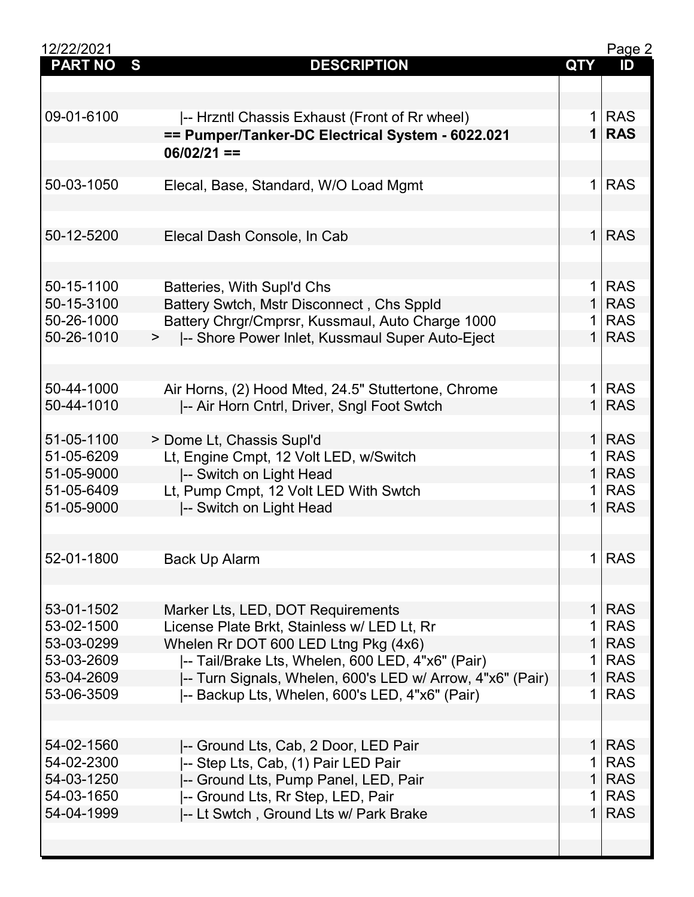| 12/22/2021     |                                                                                  |                | Page 2     |
|----------------|----------------------------------------------------------------------------------|----------------|------------|
| <b>PART NO</b> | S<br><b>DESCRIPTION</b>                                                          | <b>QTY</b>     | ID         |
|                |                                                                                  |                |            |
|                |                                                                                  |                |            |
| 09-01-6100     | -- Hrzntl Chassis Exhaust (Front of Rr wheel)                                    | 1              | <b>RAS</b> |
|                | == Pumper/Tanker-DC Electrical System - 6022.021                                 | $\mathbf 1$    | <b>RAS</b> |
|                | $06/02/21 ==$                                                                    |                |            |
|                |                                                                                  |                |            |
| 50-03-1050     | Elecal, Base, Standard, W/O Load Mgmt                                            | 1 <sup>1</sup> | <b>RAS</b> |
|                |                                                                                  |                |            |
|                |                                                                                  |                |            |
|                |                                                                                  | 1 <sup>1</sup> |            |
| 50-12-5200     | Elecal Dash Console, In Cab                                                      |                | <b>RAS</b> |
|                |                                                                                  |                |            |
|                |                                                                                  |                |            |
| 50-15-1100     | Batteries, With Supl'd Chs                                                       | 1              | <b>RAS</b> |
| 50-15-3100     | Battery Swtch, Mstr Disconnect, Chs Sppld                                        | 1              | <b>RAS</b> |
| 50-26-1000     | Battery Chrgr/Cmprsr, Kussmaul, Auto Charge 1000                                 | 1              | <b>RAS</b> |
| 50-26-1010     | >  -- Shore Power Inlet, Kussmaul Super Auto-Eject                               | 1 <sup>1</sup> | <b>RAS</b> |
|                |                                                                                  |                |            |
|                |                                                                                  |                |            |
| 50-44-1000     | Air Horns, (2) Hood Mted, 24.5" Stuttertone, Chrome                              | 1 <sup>1</sup> | <b>RAS</b> |
| 50-44-1010     | -- Air Horn Cntrl, Driver, Sngl Foot Swtch                                       | 1 <sup>1</sup> | <b>RAS</b> |
|                |                                                                                  |                |            |
| 51-05-1100     | > Dome Lt, Chassis Supl'd                                                        | 1 <sup>1</sup> | <b>RAS</b> |
| 51-05-6209     | Lt, Engine Cmpt, 12 Volt LED, w/Switch                                           | 1              | <b>RAS</b> |
| 51-05-9000     | -- Switch on Light Head                                                          | 1 <sup>1</sup> | <b>RAS</b> |
| 51-05-6409     | Lt, Pump Cmpt, 12 Volt LED With Swtch                                            | 1              | <b>RAS</b> |
| 51-05-9000     | -- Switch on Light Head                                                          | $\mathbf{1}$   | <b>RAS</b> |
|                |                                                                                  |                |            |
|                |                                                                                  |                |            |
| 52-01-1800     | <b>Back Up Alarm</b>                                                             |                | 1 RAS      |
|                |                                                                                  |                |            |
|                |                                                                                  |                |            |
| 53-01-1502     |                                                                                  | 1 <sup>1</sup> | <b>RAS</b> |
| 53-02-1500     | Marker Lts, LED, DOT Requirements<br>License Plate Brkt, Stainless w/ LED Lt, Rr | 1              | <b>RAS</b> |
|                |                                                                                  | $\mathbf{1}$   |            |
| 53-03-0299     | Whelen Rr DOT 600 LED Ltng Pkg (4x6)                                             |                | <b>RAS</b> |
| 53-03-2609     | -- Tail/Brake Lts, Whelen, 600 LED, 4"x6" (Pair)                                 | 1              | <b>RAS</b> |
| 53-04-2609     | -- Turn Signals, Whelen, 600's LED w/ Arrow, 4"x6" (Pair)                        | $\mathbf{1}$   | <b>RAS</b> |
| 53-06-3509     | -- Backup Lts, Whelen, 600's LED, 4"x6" (Pair)                                   | $\mathbf{1}$   | <b>RAS</b> |
|                |                                                                                  |                |            |
|                |                                                                                  |                |            |
| 54-02-1560     | -- Ground Lts, Cab, 2 Door, LED Pair                                             | 1 <sup>1</sup> | <b>RAS</b> |
| 54-02-2300     | -- Step Lts, Cab, (1) Pair LED Pair                                              | 1              | <b>RAS</b> |
| 54-03-1250     | -- Ground Lts, Pump Panel, LED, Pair                                             | $\mathbf{1}$   | <b>RAS</b> |
| 54-03-1650     | -- Ground Lts, Rr Step, LED, Pair                                                | 1              | <b>RAS</b> |
| 54-04-1999     | -- Lt Swtch, Ground Lts w/ Park Brake                                            | 1              | <b>RAS</b> |
|                |                                                                                  |                |            |
|                |                                                                                  |                |            |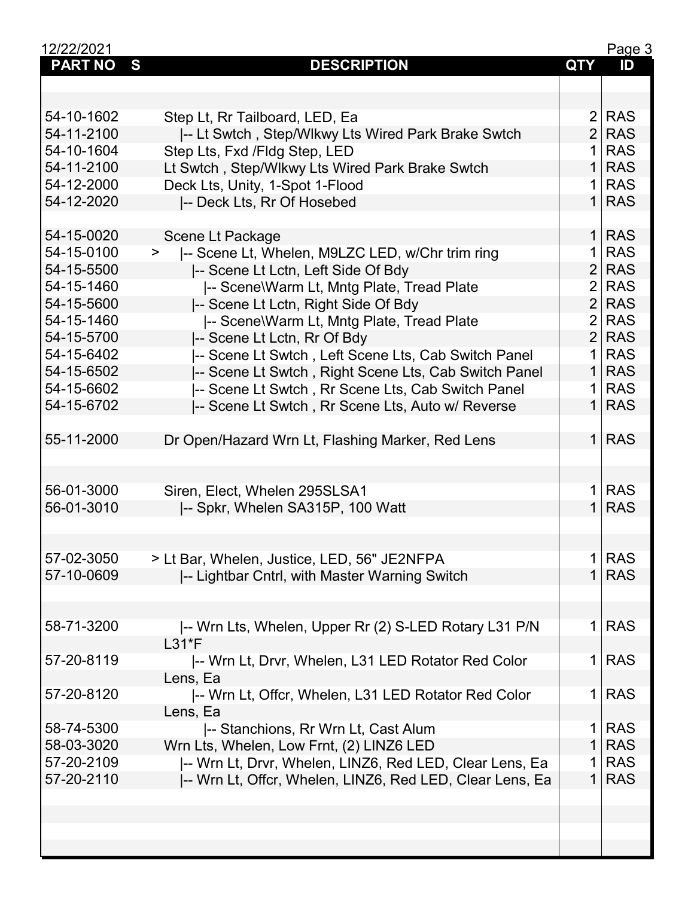| 12/22/2021               |                                                                                              |                     | Page 3                   |
|--------------------------|----------------------------------------------------------------------------------------------|---------------------|--------------------------|
| <b>PART NO</b>           | S<br><b>DESCRIPTION</b>                                                                      | <b>QTY</b>          | ID                       |
|                          |                                                                                              |                     |                          |
|                          |                                                                                              |                     |                          |
| 54-10-1602               | Step Lt, Rr Tailboard, LED, Ea                                                               | $\overline{2}$      | <b>RAS</b>               |
| 54-11-2100               | -- Lt Swtch, Step/Wlkwy Lts Wired Park Brake Swtch                                           | 2 <sup>1</sup>      | <b>RAS</b>               |
| 54-10-1604               | Step Lts, Fxd / Fldg Step, LED                                                               | $\mathbf 1$         | <b>RAS</b>               |
| 54-11-2100               | Lt Swtch, Step/Wlkwy Lts Wired Park Brake Swtch                                              | 1 <sup>1</sup>      | <b>RAS</b>               |
| 54-12-2000               | Deck Lts, Unity, 1-Spot 1-Flood                                                              | 1 <sup>1</sup>      | <b>RAS</b>               |
| 54-12-2020               | -- Deck Lts, Rr Of Hosebed                                                                   |                     | $1$ RAS                  |
|                          |                                                                                              |                     |                          |
| 54-15-0020               | Scene Lt Package                                                                             |                     | $1$ RAS                  |
| 54-15-0100               | -- Scene Lt, Whelen, M9LZC LED, w/Chr trim ring<br>$\geq$                                    | 1                   | <b>RAS</b>               |
| 54-15-5500               | -- Scene Lt Lctn, Left Side Of Bdy                                                           | 2 <sup>1</sup>      | <b>RAS</b>               |
| 54-15-1460               | -- Scene\Warm Lt, Mntg Plate, Tread Plate                                                    | $\overline{2}$      | <b>RAS</b>               |
| 54-15-5600               | -- Scene Lt Lctn, Right Side Of Bdy                                                          | 2 <sup>1</sup>      | <b>RAS</b>               |
|                          |                                                                                              | $\overline{2}$      | <b>RAS</b>               |
| 54-15-1460               | -- Scene\Warm Lt, Mntg Plate, Tread Plate                                                    |                     |                          |
| 54-15-5700               | -- Scene Lt Lctn, Rr Of Bdy                                                                  | 2 <sup>1</sup>      | <b>RAS</b>               |
| 54-15-6402               | -- Scene Lt Swtch, Left Scene Lts, Cab Switch Panel                                          | $\mathbf 1$         | <b>RAS</b>               |
| 54-15-6502               | -- Scene Lt Swtch, Right Scene Lts, Cab Switch Panel                                         | 1                   | <b>RAS</b>               |
| 54-15-6602               | -- Scene Lt Swtch, Rr Scene Lts, Cab Switch Panel                                            | 1 <sup>1</sup>      | <b>RAS</b>               |
| 54-15-6702               | -- Scene Lt Swtch, Rr Scene Lts, Auto w/ Reverse                                             |                     | $1$ RAS                  |
| 55-11-2000               | Dr Open/Hazard Wrn Lt, Flashing Marker, Red Lens                                             |                     | $1$ RAS                  |
| 56-01-3000<br>56-01-3010 | Siren, Elect, Whelen 295SLSA1<br>-- Spkr, Whelen SA315P, 100 Watt                            | 1 <sup>1</sup>      | <b>RAS</b><br>$1$ RAS    |
| 57-02-3050<br>57-10-0609 | > Lt Bar, Whelen, Justice, LED, 56" JE2NFPA<br>-- Lightbar Cntrl, with Master Warning Switch | 1<br>1 <sup>1</sup> | <b>RAS</b><br><b>RAS</b> |
| 58-71-3200               | -- Wrn Lts, Whelen, Upper Rr (2) S-LED Rotary L31 P/N                                        | 1 <sup>1</sup>      | <b>RAS</b>               |
|                          | $L31*F$                                                                                      |                     |                          |
| 57-20-8119               | -- Wrn Lt, Drvr, Whelen, L31 LED Rotator Red Color                                           | 1                   | <b>RAS</b>               |
|                          | Lens, Ea                                                                                     |                     |                          |
| 57-20-8120               | -- Wrn Lt, Offcr, Whelen, L31 LED Rotator Red Color                                          | 1 <sup>1</sup>      | <b>RAS</b>               |
|                          | Lens, Ea                                                                                     |                     |                          |
| 58-74-5300               | -- Stanchions, Rr Wrn Lt, Cast Alum                                                          | $\mathbf 1$         | <b>RAS</b>               |
| 58-03-3020               | Wrn Lts, Whelen, Low Frnt, (2) LINZ6 LED                                                     | 1 <sup>1</sup>      | <b>RAS</b>               |
| 57-20-2109               | -- Wrn Lt, Drvr, Whelen, LINZ6, Red LED, Clear Lens, Ea                                      | 1                   | <b>RAS</b>               |
| 57-20-2110               | -- Wrn Lt, Offcr, Whelen, LINZ6, Red LED, Clear Lens, Ea                                     | 1 <sup>1</sup>      | <b>RAS</b>               |
|                          |                                                                                              |                     |                          |
|                          |                                                                                              |                     |                          |
|                          |                                                                                              |                     |                          |
|                          |                                                                                              |                     |                          |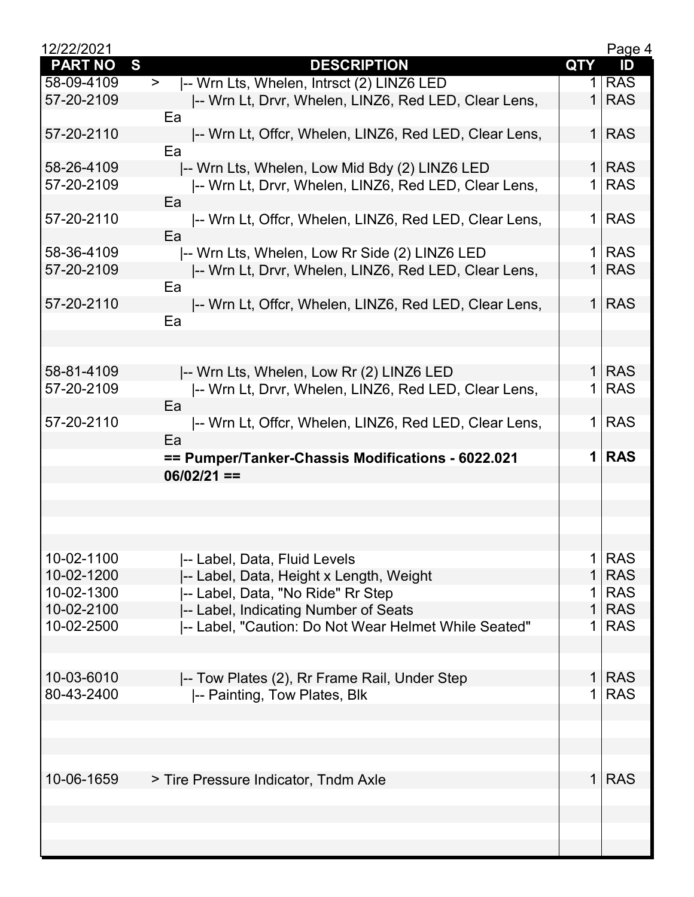| 12/22/2021     |                                                       |                | Page 4     |
|----------------|-------------------------------------------------------|----------------|------------|
| <b>PART NO</b> | S<br><b>DESCRIPTION</b>                               | <b>QTY</b>     | ID         |
| 58-09-4109     | -- Wrn Lts, Whelen, Intrsct (2) LINZ6 LED<br>$\geq$   | 1              | <b>RAS</b> |
| 57-20-2109     | -- Wrn Lt, Drvr, Whelen, LINZ6, Red LED, Clear Lens,  | $\mathbf{1}$   | <b>RAS</b> |
|                | Ea                                                    |                |            |
| 57-20-2110     | -- Wrn Lt, Offcr, Whelen, LINZ6, Red LED, Clear Lens, | 1 <sup>1</sup> | <b>RAS</b> |
|                | Ea                                                    |                |            |
| 58-26-4109     | -- Wrn Lts, Whelen, Low Mid Bdy (2) LINZ6 LED         |                | $1$ RAS    |
| 57-20-2109     | -- Wrn Lt, Drvr, Whelen, LINZ6, Red LED, Clear Lens,  | 1 <sup>1</sup> | <b>RAS</b> |
|                | Ea                                                    |                |            |
| 57-20-2110     | -- Wrn Lt, Offcr, Whelen, LINZ6, Red LED, Clear Lens, | 1 <sup>1</sup> | <b>RAS</b> |
|                | Ea                                                    |                |            |
| 58-36-4109     | -- Wrn Lts, Whelen, Low Rr Side (2) LINZ6 LED         | 1 <sup>1</sup> | <b>RAS</b> |
| 57-20-2109     | -- Wrn Lt, Drvr, Whelen, LINZ6, Red LED, Clear Lens,  | 1 <sup>1</sup> | <b>RAS</b> |
|                | Ea                                                    |                |            |
| 57-20-2110     | -- Wrn Lt, Offcr, Whelen, LINZ6, Red LED, Clear Lens, |                | $1$ RAS    |
|                | Ea                                                    |                |            |
|                |                                                       |                |            |
|                |                                                       |                |            |
| 58-81-4109     | -- Wrn Lts, Whelen, Low Rr (2) LINZ6 LED              |                | $1$ RAS    |
| 57-20-2109     | -- Wrn Lt, Drvr, Whelen, LINZ6, Red LED, Clear Lens,  | 1 <sup>1</sup> | <b>RAS</b> |
|                | Ea                                                    |                |            |
| 57-20-2110     | -- Wrn Lt, Offcr, Whelen, LINZ6, Red LED, Clear Lens, | 1 <sup>1</sup> | <b>RAS</b> |
|                | Ea                                                    |                |            |
|                | == Pumper/Tanker-Chassis Modifications - 6022.021     | 1 <sup>1</sup> | <b>RAS</b> |
|                | $06/02/21 ==$                                         |                |            |
|                |                                                       |                |            |
|                |                                                       |                |            |
|                |                                                       |                |            |
|                |                                                       |                |            |
| 10-02-1100     | I-- Label, Data, Fluid Levels                         | 1              | <b>RAS</b> |
| 10-02-1200     | -- Label, Data, Height x Length, Weight               | $\mathbf{1}$   | <b>RAS</b> |
| 10-02-1300     | -- Label, Data, "No Ride" Rr Step                     | 1              | <b>RAS</b> |
| 10-02-2100     | -- Label, Indicating Number of Seats                  | $\mathbf{1}$   | <b>RAS</b> |
| 10-02-2500     | -- Label, "Caution: Do Not Wear Helmet While Seated"  | $\mathbf 1$    | <b>RAS</b> |
|                |                                                       |                |            |
|                |                                                       |                |            |
| 10-03-6010     | -- Tow Plates (2), Rr Frame Rail, Under Step          | $\mathbf{1}$   | <b>RAS</b> |
| 80-43-2400     | -- Painting, Tow Plates, Blk                          | $\mathbf 1$    | <b>RAS</b> |
|                |                                                       |                |            |
|                |                                                       |                |            |
|                |                                                       |                |            |
|                |                                                       |                |            |
| 10-06-1659     | > Tire Pressure Indicator, Tndm Axle                  | 1 <sup>1</sup> | <b>RAS</b> |
|                |                                                       |                |            |
|                |                                                       |                |            |
|                |                                                       |                |            |
|                |                                                       |                |            |
|                |                                                       |                |            |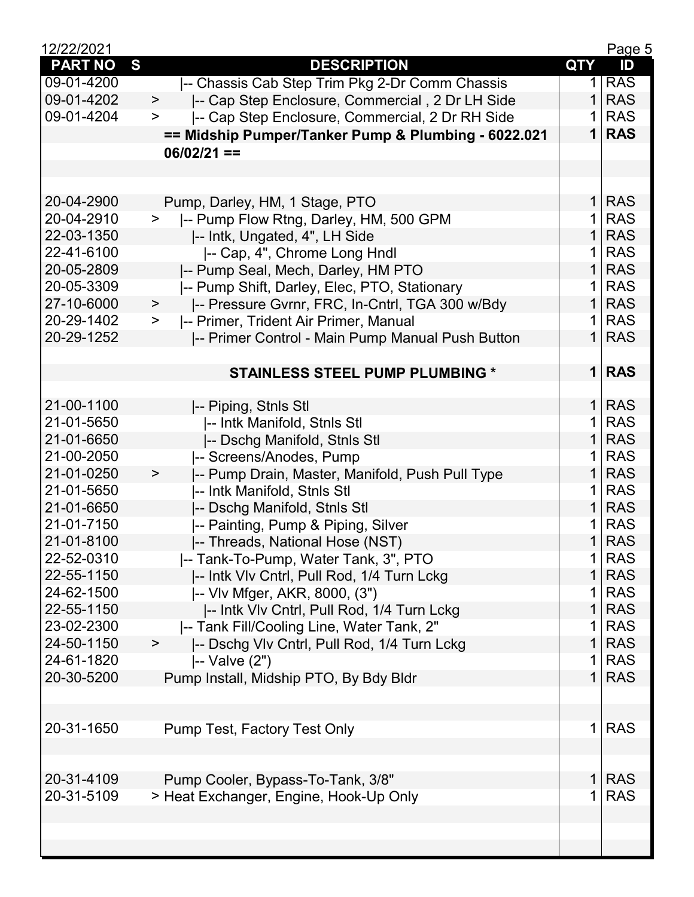| 12/22/2021     |                                                          |                | Page 5     |
|----------------|----------------------------------------------------------|----------------|------------|
| <b>PART NO</b> | S<br><b>DESCRIPTION</b>                                  | <b>QTY</b>     | ID         |
| 09-01-4200     | -- Chassis Cab Step Trim Pkg 2-Dr Comm Chassis           | 1              | <b>RAS</b> |
| 09-01-4202     | -- Cap Step Enclosure, Commercial, 2 Dr LH Side<br>$\,$  | 1              | <b>RAS</b> |
| 09-01-4204     | -- Cap Step Enclosure, Commercial, 2 Dr RH Side<br>$\,>$ | 1              | <b>RAS</b> |
|                | == Midship Pumper/Tanker Pump & Plumbing - 6022.021      | $\mathbf 1$    | <b>RAS</b> |
|                | $06/02/21 ==$                                            |                |            |
|                |                                                          |                |            |
|                |                                                          |                |            |
| 20-04-2900     | Pump, Darley, HM, 1 Stage, PTO                           |                | $1$ RAS    |
| 20-04-2910     | -- Pump Flow Rtng, Darley, HM, 500 GPM<br>$\geq$         | $\mathbf{1}$   | <b>RAS</b> |
| 22-03-1350     | -- Intk, Ungated, 4", LH Side                            | 1 <sup>1</sup> | <b>RAS</b> |
| 22-41-6100     | -- Cap, 4", Chrome Long Hndl                             | 1 <sup>1</sup> | <b>RAS</b> |
| 20-05-2809     | -- Pump Seal, Mech, Darley, HM PTO                       | 1 <sup>1</sup> | <b>RAS</b> |
| 20-05-3309     | -- Pump Shift, Darley, Elec, PTO, Stationary             | 1              | <b>RAS</b> |
| 27-10-6000     | $\,$                                                     | $\mathbf{1}$   | <b>RAS</b> |
| 20-29-1402     | - Pressure Gvrnr, FRC, In-Cntrl, TGA 300 w/Bdy<br>$\,$   | 1              | <b>RAS</b> |
|                | -- Primer, Trident Air Primer, Manual                    | 1 <sup>1</sup> | <b>RAS</b> |
| 20-29-1252     | -- Primer Control - Main Pump Manual Push Button         |                |            |
|                |                                                          |                |            |
|                | <b>STAINLESS STEEL PUMP PLUMBING *</b>                   |                | $1$ RAS    |
|                |                                                          |                |            |
| 21-00-1100     | -- Piping, Stnls Stl                                     |                | $1$ RAS    |
| 21-01-5650     | -- Intk Manifold, Stnls Stl                              | 1 <sup>1</sup> | <b>RAS</b> |
| 21-01-6650     | -- Dschg Manifold, Stnls Stl                             | 1 <sup>1</sup> | <b>RAS</b> |
| 21-00-2050     | -- Screens/Anodes, Pump                                  |                | $1$ RAS    |
| 21-01-0250     | -- Pump Drain, Master, Manifold, Push Pull Type<br>$\,$  | 1 <sup>1</sup> | <b>RAS</b> |
| 21-01-5650     | -- Intk Manifold, Stnls Stl                              | 1              | <b>RAS</b> |
| 21-01-6650     | -- Dschg Manifold, Stnls Stl                             | 1 <sup>1</sup> | <b>RAS</b> |
| 21-01-7150     | -- Painting, Pump & Piping, Silver                       |                | $1$ RAS    |
| 21-01-8100     | -- Threads, National Hose (NST)                          |                | $1$ RAS    |
| 22-52-0310     | -- Tank-To-Pump, Water Tank, 3", PTO                     |                | $1$ RAS    |
| 22-55-1150     | -- Intk VIv Cntrl, Pull Rod, 1/4 Turn Lckg               | 1 <sup>1</sup> | <b>RAS</b> |
| 24-62-1500     | -- VIv Mfger, AKR, 8000, (3")                            | $\mathbf{1}$   | <b>RAS</b> |
| 22-55-1150     | -- Intk VIv Cntrl, Pull Rod, 1/4 Turn Lckg               | 1 <sup>1</sup> | <b>RAS</b> |
| 23-02-2300     | -- Tank Fill/Cooling Line, Water Tank, 2"                | 1              | <b>RAS</b> |
| 24-50-1150     | -- Dschg Vlv Cntrl, Pull Rod, 1/4 Turn Lckg<br>$\,$      | 1 <sup>1</sup> | <b>RAS</b> |
| 24-61-1820     | -- Valve (2")                                            | 1              | <b>RAS</b> |
| 20-30-5200     | Pump Install, Midship PTO, By Bdy Bldr                   | 1 <sup>1</sup> | <b>RAS</b> |
|                |                                                          |                |            |
|                |                                                          |                |            |
| 20-31-1650     | Pump Test, Factory Test Only                             | 1              | <b>RAS</b> |
|                |                                                          |                |            |
|                |                                                          |                |            |
| 20-31-4109     | Pump Cooler, Bypass-To-Tank, 3/8"                        | 1 <sup>1</sup> | <b>RAS</b> |
| 20-31-5109     | > Heat Exchanger, Engine, Hook-Up Only                   | 1              | <b>RAS</b> |
|                |                                                          |                |            |
|                |                                                          |                |            |
|                |                                                          |                |            |
|                |                                                          |                |            |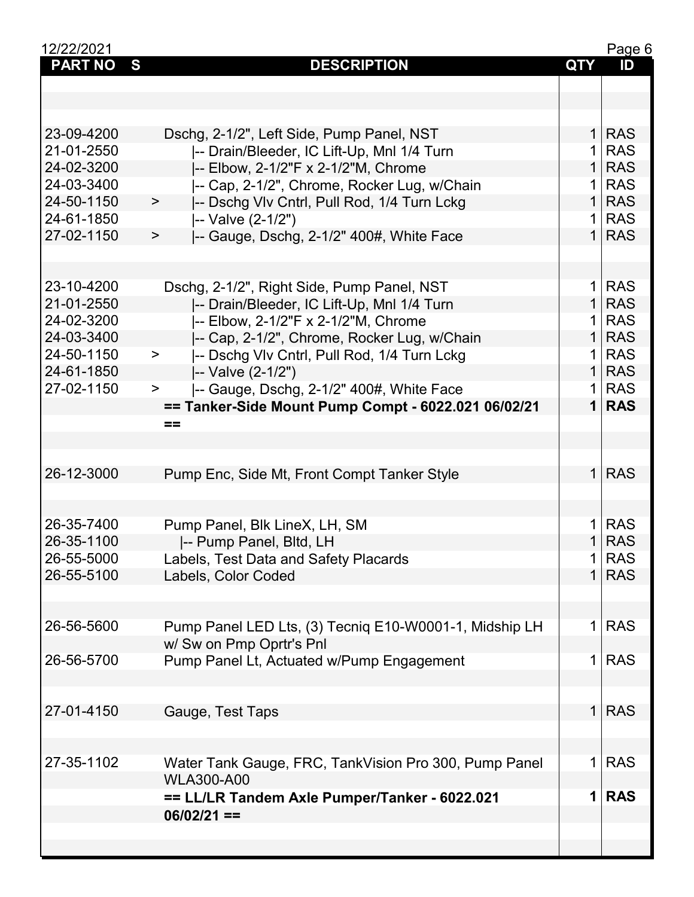| 12/22/2021     |                                                        |                | Page 6     |
|----------------|--------------------------------------------------------|----------------|------------|
| <b>PART NO</b> | S<br><b>DESCRIPTION</b>                                | <b>QTY</b>     | ID         |
|                |                                                        |                |            |
|                |                                                        |                |            |
|                |                                                        |                |            |
| 23-09-4200     |                                                        | 1 <sup>1</sup> | <b>RAS</b> |
|                | Dschg, 2-1/2", Left Side, Pump Panel, NST              |                |            |
| 21-01-2550     | -- Drain/Bleeder, IC Lift-Up, Mnl 1/4 Turn             | 1              | <b>RAS</b> |
| 24-02-3200     | -- Elbow, 2-1/2"F x 2-1/2"M, Chrome                    | $\mathbf{1}$   | <b>RAS</b> |
| 24-03-3400     | -- Cap, 2-1/2", Chrome, Rocker Lug, w/Chain            | $\mathbf 1$    | <b>RAS</b> |
| 24-50-1150     | -- Dschg VIv Cntrl, Pull Rod, 1/4 Turn Lckg<br>$\,$    | $\mathbf{1}$   | <b>RAS</b> |
| 24-61-1850     | -- Valve (2-1/2")                                      | 1              | <b>RAS</b> |
| 27-02-1150     | -- Gauge, Dschg, 2-1/2" 400#, White Face<br>$\,$       | $\mathbf{1}$   | <b>RAS</b> |
|                |                                                        |                |            |
|                |                                                        |                |            |
| 23-10-4200     | Dschg, 2-1/2", Right Side, Pump Panel, NST             | 1              | <b>RAS</b> |
| 21-01-2550     | -- Drain/Bleeder, IC Lift-Up, Mnl 1/4 Turn             | 1 <sup>1</sup> | <b>RAS</b> |
| 24-02-3200     | -- Elbow, 2-1/2"F x 2-1/2"M, Chrome                    | 1 <sup>1</sup> | <b>RAS</b> |
| 24-03-3400     | -- Cap, 2-1/2", Chrome, Rocker Lug, w/Chain            | 1 <sup>1</sup> | <b>RAS</b> |
| 24-50-1150     | -- Dschg Vlv Cntrl, Pull Rod, 1/4 Turn Lckg<br>$\geq$  | 1              | <b>RAS</b> |
| 24-61-1850     | -- Valve (2-1/2")                                      | $\mathbf{1}$   | <b>RAS</b> |
|                |                                                        | 1.             | <b>RAS</b> |
| 27-02-1150     | -- Gauge, Dschg, 2-1/2" 400#, White Face<br>$\geq$     |                |            |
|                | == Tanker-Side Mount Pump Compt - 6022.021 06/02/21    | $\mathbf 1$    | <b>RAS</b> |
|                | ==                                                     |                |            |
|                |                                                        |                |            |
|                |                                                        |                |            |
| 26-12-3000     | Pump Enc, Side Mt, Front Compt Tanker Style            | 1 <sup>1</sup> | <b>RAS</b> |
|                |                                                        |                |            |
|                |                                                        |                |            |
| 26-35-7400     | Pump Panel, Blk LineX, LH, SM                          | 1 <sup>1</sup> | <b>RAS</b> |
| 26-35-1100     | I-- Pump Panel, Bltd, LH                               | 1 <sup>1</sup> | <b>RAS</b> |
| 26-55-5000     | Labels, Test Data and Safety Placards                  | 1              | <b>RAS</b> |
| 26-55-5100     | Labels, Color Coded                                    | $\mathbf{1}$   | <b>RAS</b> |
|                |                                                        |                |            |
|                |                                                        |                |            |
| 26-56-5600     | Pump Panel LED Lts, (3) Tecniq E10-W0001-1, Midship LH | 1              | <b>RAS</b> |
|                | w/ Sw on Pmp Oprtr's Pnl                               |                |            |
| 26-56-5700     |                                                        | 1              | <b>RAS</b> |
|                | Pump Panel Lt, Actuated w/Pump Engagement              |                |            |
|                |                                                        |                |            |
|                |                                                        |                |            |
| 27-01-4150     | Gauge, Test Taps                                       | 1 <sup>1</sup> | <b>RAS</b> |
|                |                                                        |                |            |
|                |                                                        |                |            |
| 27-35-1102     | Water Tank Gauge, FRC, TankVision Pro 300, Pump Panel  | 1              | <b>RAS</b> |
|                | <b>WLA300-A00</b>                                      |                |            |
|                | == LL/LR Tandem Axle Pumper/Tanker - 6022.021          | 1              | <b>RAS</b> |
|                | $06/02/21 ==$                                          |                |            |
|                |                                                        |                |            |
|                |                                                        |                |            |
|                |                                                        |                |            |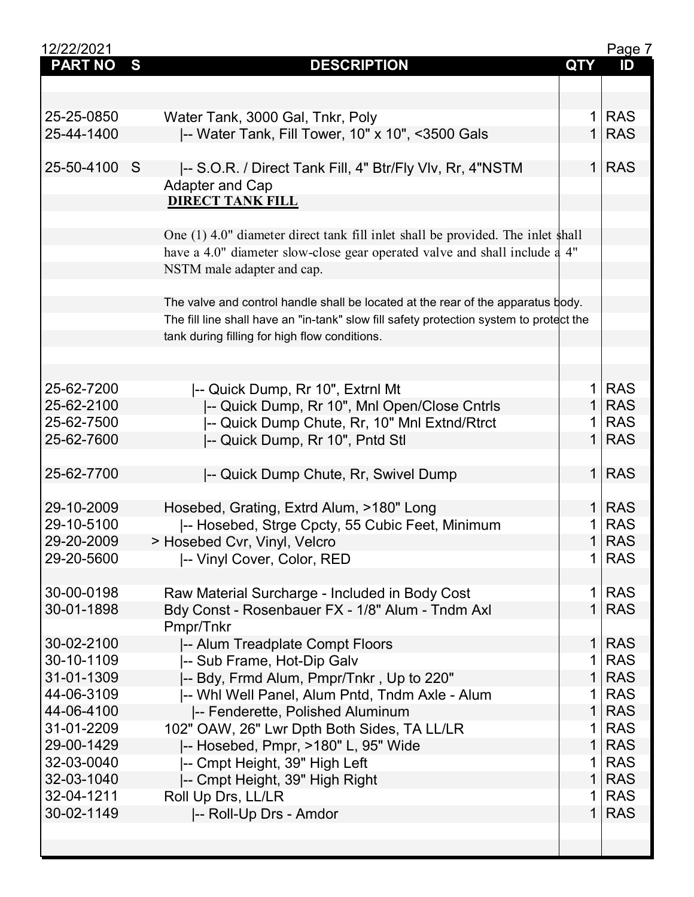| 12/22/2021     |                                                                                         |                | Page 7     |
|----------------|-----------------------------------------------------------------------------------------|----------------|------------|
| <b>PART NO</b> | S<br><b>DESCRIPTION</b>                                                                 | <b>QTY</b>     | ID         |
|                |                                                                                         |                |            |
|                |                                                                                         |                |            |
| 25-25-0850     | Water Tank, 3000 Gal, Tnkr, Poly                                                        | 1              | <b>RAS</b> |
| 25-44-1400     | -- Water Tank, Fill Tower, 10" x 10", <3500 Gals                                        | $\mathbf{1}$   | <b>RAS</b> |
|                |                                                                                         |                |            |
| 25-50-4100     | S                                                                                       | 1 <sup>1</sup> | <b>RAS</b> |
|                | -- S.O.R. / Direct Tank Fill, 4" Btr/Fly Vlv, Rr, 4"NSTM                                |                |            |
|                | <b>Adapter and Cap</b>                                                                  |                |            |
|                | <b>DIRECT TANK FILL</b>                                                                 |                |            |
|                |                                                                                         |                |            |
|                | One (1) 4.0" diameter direct tank fill inlet shall be provided. The inlet shall         |                |            |
|                | have a 4.0" diameter slow-close gear operated valve and shall include a 4"              |                |            |
|                | NSTM male adapter and cap.                                                              |                |            |
|                |                                                                                         |                |            |
|                | The valve and control handle shall be located at the rear of the apparatus body.        |                |            |
|                | The fill line shall have an "in-tank" slow fill safety protection system to protect the |                |            |
|                | tank during filling for high flow conditions.                                           |                |            |
|                |                                                                                         |                |            |
|                |                                                                                         |                |            |
| 25-62-7200     | -- Quick Dump, Rr 10", Extrnl Mt                                                        | 1 <sup>1</sup> | <b>RAS</b> |
| 25-62-2100     | -- Quick Dump, Rr 10", Mnl Open/Close Cntrls                                            | 1 <sup>1</sup> | <b>RAS</b> |
| 25-62-7500     | -- Quick Dump Chute, Rr, 10" Mnl Extnd/Rtrct                                            | 1              | <b>RAS</b> |
|                |                                                                                         | 1              | <b>RAS</b> |
| 25-62-7600     | -- Quick Dump, Rr 10", Pntd Stl                                                         |                |            |
|                |                                                                                         |                |            |
| 25-62-7700     | -- Quick Dump Chute, Rr, Swivel Dump                                                    | 1 <sup>1</sup> | <b>RAS</b> |
|                |                                                                                         |                |            |
| 29-10-2009     | Hosebed, Grating, Extrd Alum, >180" Long                                                |                | 1 RAS      |
| 29-10-5100     | -- Hosebed, Strge Cpcty, 55 Cubic Feet, Minimum                                         | 1              | <b>RAS</b> |
| 29-20-2009     | > Hosebed Cvr, Vinyl, Velcro                                                            | 1 <sup>1</sup> | <b>RAS</b> |
| 29-20-5600     | -- Vinyl Cover, Color, RED                                                              | 1 <sup>1</sup> | <b>RAS</b> |
|                |                                                                                         |                |            |
| 30-00-0198     | Raw Material Surcharge - Included in Body Cost                                          | 1              | <b>RAS</b> |
| 30-01-1898     | Bdy Const - Rosenbauer FX - 1/8" Alum - Tndm Axl                                        | 1 <sup>1</sup> | <b>RAS</b> |
|                | Pmpr/Tnkr                                                                               |                |            |
| 30-02-2100     | -- Alum Treadplate Compt Floors                                                         | 1              | <b>RAS</b> |
| 30-10-1109     | -- Sub Frame, Hot-Dip Galv                                                              | 1              | <b>RAS</b> |
| 31-01-1309     | -- Bdy, Frmd Alum, Pmpr/Tnkr, Up to 220"                                                | $\mathbf{1}$   | <b>RAS</b> |
| 44-06-3109     | -- Whi Well Panel, Alum Pntd, Tndm Axle - Alum                                          | 1              | <b>RAS</b> |
| 44-06-4100     |                                                                                         | $\mathbf{1}$   | <b>RAS</b> |
|                | -- Fenderette, Polished Aluminum                                                        |                |            |
| 31-01-2209     | 102" OAW, 26" Lwr Dpth Both Sides, TA LL/LR                                             | 1              | <b>RAS</b> |
| 29-00-1429     | -- Hosebed, Pmpr, >180" L, 95" Wide                                                     | 1              | <b>RAS</b> |
| 32-03-0040     | -- Cmpt Height, 39" High Left                                                           | 1              | <b>RAS</b> |
| 32-03-1040     | -- Cmpt Height, 39" High Right                                                          | $\mathbf{1}$   | <b>RAS</b> |
| 32-04-1211     | Roll Up Drs, LL/LR                                                                      | 1              | <b>RAS</b> |
| 30-02-1149     | -- Roll-Up Drs - Amdor                                                                  | 1              | <b>RAS</b> |
|                |                                                                                         |                |            |
|                |                                                                                         |                |            |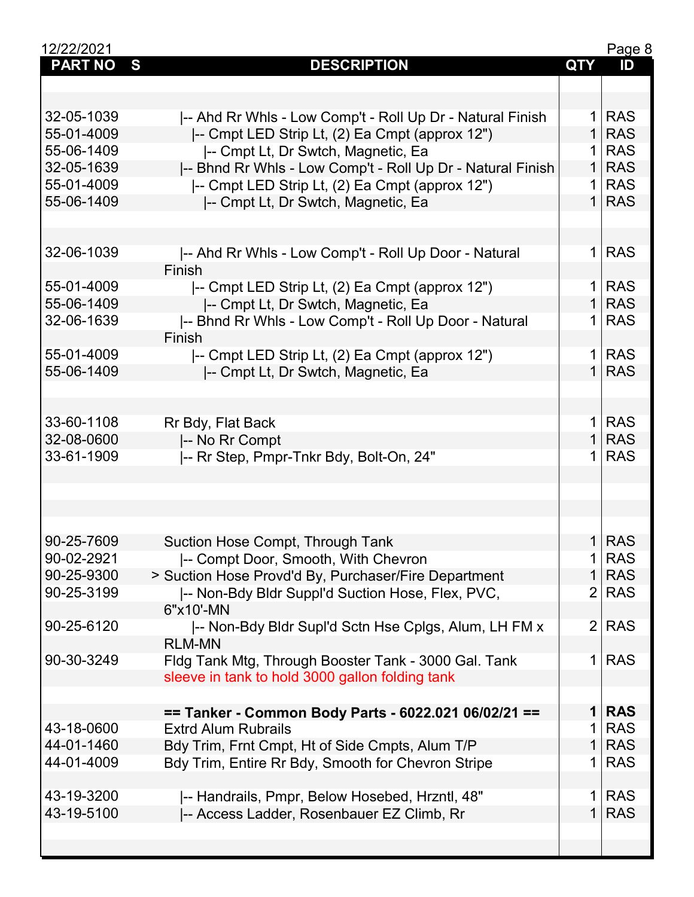| 12/22/2021     |                                                            |                | Page 8     |
|----------------|------------------------------------------------------------|----------------|------------|
| <b>PART NO</b> | S<br><b>DESCRIPTION</b>                                    | <b>QTY</b>     | ID         |
|                |                                                            |                |            |
|                |                                                            |                |            |
| 32-05-1039     | -- Ahd Rr Whls - Low Comp't - Roll Up Dr - Natural Finish  |                | $1$ RAS    |
| 55-01-4009     | I-- Cmpt LED Strip Lt, (2) Ea Cmpt (approx 12")            | $\mathbf{1}$   | <b>RAS</b> |
| 55-06-1409     | -- Cmpt Lt, Dr Swtch, Magnetic, Ea                         | 1 <sup>1</sup> | <b>RAS</b> |
| 32-05-1639     | -- Bhnd Rr Whls - Low Comp't - Roll Up Dr - Natural Finish | 1 <sup>1</sup> | <b>RAS</b> |
| 55-01-4009     | -- Cmpt LED Strip Lt, (2) Ea Cmpt (approx 12")             | 1 <sup>1</sup> | <b>RAS</b> |
| 55-06-1409     | -- Cmpt Lt, Dr Swtch, Magnetic, Ea                         | 1              | <b>RAS</b> |
|                |                                                            |                |            |
|                |                                                            |                |            |
|                |                                                            |                |            |
| 32-06-1039     | -- Ahd Rr Whls - Low Comp't - Roll Up Door - Natural       |                | $1$ RAS    |
|                | Finish                                                     |                |            |
| 55-01-4009     | -- Cmpt LED Strip Lt, (2) Ea Cmpt (approx 12")             | 1              | <b>RAS</b> |
| 55-06-1409     | -- Cmpt Lt, Dr Swtch, Magnetic, Ea                         | 1 <sup>1</sup> | <b>RAS</b> |
| 32-06-1639     | -- Bhnd Rr Whls - Low Comp't - Roll Up Door - Natural      | 1 <sup>1</sup> | <b>RAS</b> |
|                | Finish                                                     |                |            |
| 55-01-4009     | -- Cmpt LED Strip Lt, (2) Ea Cmpt (approx 12")             |                | 1 RAS      |
| 55-06-1409     | -- Cmpt Lt, Dr Swtch, Magnetic, Ea                         | 1 <sup>1</sup> | <b>RAS</b> |
|                |                                                            |                |            |
|                |                                                            |                |            |
| 33-60-1108     | Rr Bdy, Flat Back                                          |                | $1$ RAS    |
| 32-08-0600     | -- No Rr Compt                                             | 1 <sup>1</sup> | <b>RAS</b> |
| 33-61-1909     | -- Rr Step, Pmpr-Tnkr Bdy, Bolt-On, 24"                    |                | $1$ RAS    |
|                |                                                            |                |            |
|                |                                                            |                |            |
|                |                                                            |                |            |
|                |                                                            |                |            |
| 90-25-7609     | Suction Hose Compt, Through Tank                           |                | $1$ RAS    |
| 90-02-2921     | -- Compt Door, Smooth, With Chevron                        |                | <b>RAS</b> |
| 90-25-9300     |                                                            | 1              | <b>RAS</b> |
|                | > Suction Hose Provd'd By, Purchaser/Fire Department       | $\overline{2}$ |            |
| 90-25-3199     | -- Non-Bdy Bldr Suppl'd Suction Hose, Flex, PVC,           |                | <b>RAS</b> |
|                | 6"x10'-MN                                                  |                |            |
| 90-25-6120     | -- Non-Bdy Bldr Supl'd Sctn Hse Cplgs, Alum, LH FM x       | 2 <sub>1</sub> | <b>RAS</b> |
|                | <b>RLM-MN</b>                                              |                |            |
| 90-30-3249     | Fldg Tank Mtg, Through Booster Tank - 3000 Gal. Tank       | 1              | <b>RAS</b> |
|                | sleeve in tank to hold 3000 gallon folding tank            |                |            |
|                |                                                            |                |            |
|                | == Tanker - Common Body Parts - 6022.021 06/02/21 ==       | $\mathbf 1$    | <b>RAS</b> |
| 43-18-0600     | <b>Extrd Alum Rubrails</b>                                 | 1              | <b>RAS</b> |
| 44-01-1460     | Bdy Trim, Frnt Cmpt, Ht of Side Cmpts, Alum T/P            | $\mathbf{1}$   | <b>RAS</b> |
| 44-01-4009     | Bdy Trim, Entire Rr Bdy, Smooth for Chevron Stripe         | $\mathbf{1}$   | <b>RAS</b> |
|                |                                                            |                |            |
| 43-19-3200     | -- Handrails, Pmpr, Below Hosebed, Hrzntl, 48"             | 1              | <b>RAS</b> |
| 43-19-5100     | -- Access Ladder, Rosenbauer EZ Climb, Rr                  | $\mathbf{1}$   | <b>RAS</b> |
|                |                                                            |                |            |
|                |                                                            |                |            |